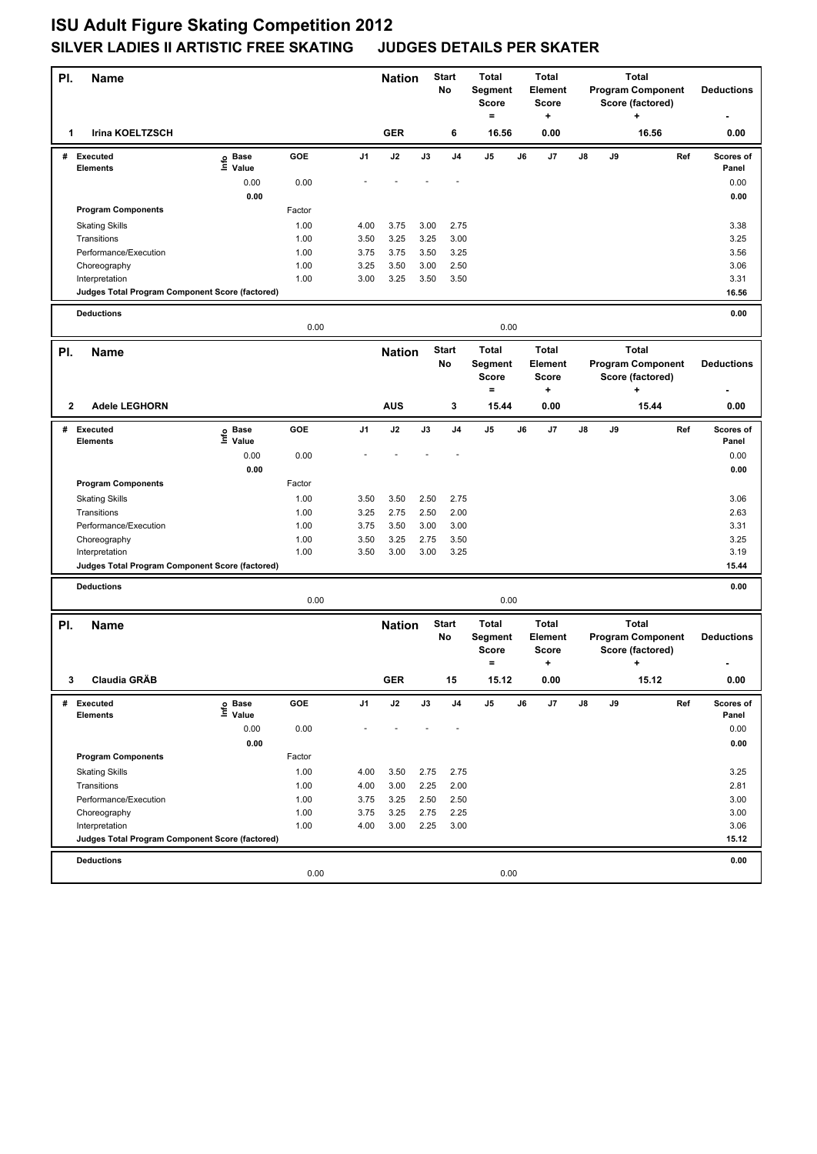| PI. | <b>Name</b>                                                       |                   |              |                | <b>Nation</b> |               | <b>Start</b><br>No | <b>Total</b><br>Segment<br><b>Score</b>        |    | <b>Total</b><br>Element<br>Score             |    |    | <b>Total</b><br><b>Program Component</b>                          |     | <b>Deductions</b>  |
|-----|-------------------------------------------------------------------|-------------------|--------------|----------------|---------------|---------------|--------------------|------------------------------------------------|----|----------------------------------------------|----|----|-------------------------------------------------------------------|-----|--------------------|
|     |                                                                   |                   |              |                |               |               |                    | $=$                                            |    | +                                            |    |    | Score (factored)<br>٠                                             |     |                    |
| 1   | <b>Irina KOELTZSCH</b>                                            |                   |              |                | <b>GER</b>    |               | 6                  | 16.56                                          |    | 0.00                                         |    |    | 16.56                                                             |     | 0.00               |
|     | # Executed<br><b>Elements</b>                                     | e Base<br>⊑ Value | GOE          | J <sub>1</sub> | J2            | $\mathsf{J3}$ | J <sub>4</sub>     | J5                                             | J6 | J7                                           | J8 | J9 |                                                                   | Ref | Scores of<br>Panel |
|     |                                                                   | 0.00              | 0.00         |                |               |               |                    |                                                |    |                                              |    |    |                                                                   |     | 0.00               |
|     |                                                                   | 0.00              |              |                |               |               |                    |                                                |    |                                              |    |    |                                                                   |     | 0.00               |
|     | <b>Program Components</b>                                         |                   | Factor       |                |               |               |                    |                                                |    |                                              |    |    |                                                                   |     |                    |
|     | <b>Skating Skills</b>                                             |                   | 1.00         | 4.00           | 3.75          | 3.00          | 2.75               |                                                |    |                                              |    |    |                                                                   |     | 3.38               |
|     | Transitions                                                       |                   | 1.00         | 3.50           | 3.25          | 3.25          | 3.00               |                                                |    |                                              |    |    |                                                                   |     | 3.25               |
|     | Performance/Execution                                             |                   | 1.00         | 3.75           | 3.75          | 3.50          | 3.25               |                                                |    |                                              |    |    |                                                                   |     | 3.56               |
|     | Choreography                                                      |                   | 1.00         | 3.25           | 3.50          | 3.00          | 2.50               |                                                |    |                                              |    |    |                                                                   |     | 3.06               |
|     | Interpretation<br>Judges Total Program Component Score (factored) |                   | 1.00         | 3.00           | 3.25          | 3.50          | 3.50               |                                                |    |                                              |    |    |                                                                   |     | 3.31<br>16.56      |
|     |                                                                   |                   |              |                |               |               |                    |                                                |    |                                              |    |    |                                                                   |     |                    |
|     | <b>Deductions</b>                                                 |                   | 0.00         |                |               |               |                    | 0.00                                           |    |                                              |    |    |                                                                   |     | 0.00               |
| PI. | Name                                                              |                   |              |                | <b>Nation</b> |               | <b>Start</b>       | <b>Total</b>                                   |    | <b>Total</b>                                 |    |    | <b>Total</b>                                                      |     |                    |
|     |                                                                   |                   |              |                |               |               | No                 | Segment<br><b>Score</b><br>$=$                 |    | Element<br><b>Score</b><br>+                 |    |    | <b>Program Component</b><br>Score (factored)<br>٠                 |     | <b>Deductions</b>  |
| 2   | <b>Adele LEGHORN</b>                                              |                   |              |                | <b>AUS</b>    |               | 3                  | 15.44                                          |    | 0.00                                         |    |    | 15.44                                                             |     | 0.00               |
|     | # Executed                                                        | e Base<br>⊆ Value | GOE          | J1             | J2            | J3            | J4                 | J5                                             | J6 | J7                                           | J8 | J9 |                                                                   | Ref | Scores of          |
|     | <b>Elements</b>                                                   |                   |              |                |               |               |                    |                                                |    |                                              |    |    |                                                                   |     | Panel              |
|     |                                                                   | 0.00              | 0.00         |                |               |               |                    |                                                |    |                                              |    |    |                                                                   |     | 0.00               |
|     |                                                                   | 0.00              |              |                |               |               |                    |                                                |    |                                              |    |    |                                                                   |     | 0.00               |
|     | <b>Program Components</b>                                         |                   | Factor       |                |               |               |                    |                                                |    |                                              |    |    |                                                                   |     |                    |
|     | <b>Skating Skills</b><br>Transitions                              |                   | 1.00<br>1.00 | 3.50<br>3.25   | 3.50<br>2.75  | 2.50<br>2.50  | 2.75<br>2.00       |                                                |    |                                              |    |    |                                                                   |     | 3.06<br>2.63       |
|     | Performance/Execution                                             |                   | 1.00         | 3.75           | 3.50          | 3.00          | 3.00               |                                                |    |                                              |    |    |                                                                   |     | 3.31               |
|     | Choreography                                                      |                   | 1.00         | 3.50           | 3.25          | 2.75          | 3.50               |                                                |    |                                              |    |    |                                                                   |     | 3.25               |
|     | Interpretation                                                    |                   | 1.00         | 3.50           | 3.00          | 3.00          | 3.25               |                                                |    |                                              |    |    |                                                                   |     | 3.19               |
|     | Judges Total Program Component Score (factored)                   |                   |              |                |               |               |                    |                                                |    |                                              |    |    |                                                                   |     | 15.44              |
|     | <b>Deductions</b>                                                 |                   |              |                |               |               |                    |                                                |    |                                              |    |    |                                                                   |     | 0.00               |
|     |                                                                   |                   | 0.00         |                |               |               |                    | 0.00                                           |    |                                              |    |    |                                                                   |     |                    |
| PI. | <b>Name</b>                                                       |                   |              |                | <b>Nation</b> |               | <b>Start</b><br>No | <b>Total</b><br>Segment<br><b>Score</b><br>$=$ |    | <b>Total</b><br>Element<br><b>Score</b><br>٠ |    |    | <b>Total</b><br><b>Program Component</b><br>Score (factored)<br>٠ |     | <b>Deductions</b>  |
|     | 3 Claudia GRÄB                                                    |                   |              |                | GER           |               | 15                 | 15.12                                          |    | 0.00                                         |    |    | 15.12                                                             |     | 0.00               |
| #   | Executed                                                          | e Base<br>⊑ Value | GOE          | J1             | J2            | J3            | J4                 | J5                                             | J6 | J7                                           | J8 | J9 |                                                                   | Ref | Scores of          |
|     | <b>Elements</b>                                                   |                   |              |                |               |               |                    |                                                |    |                                              |    |    |                                                                   |     | Panel              |
|     |                                                                   | 0.00              | 0.00         |                |               |               |                    |                                                |    |                                              |    |    |                                                                   |     | 0.00               |
|     | <b>Program Components</b>                                         | 0.00              | Factor       |                |               |               |                    |                                                |    |                                              |    |    |                                                                   |     | 0.00               |
|     |                                                                   |                   | 1.00         | 4.00           |               |               |                    |                                                |    |                                              |    |    |                                                                   |     | 3.25               |
|     | <b>Skating Skills</b><br>Transitions                              |                   | 1.00         | 4.00           | 3.50<br>3.00  | 2.75<br>2.25  | 2.75<br>2.00       |                                                |    |                                              |    |    |                                                                   |     | 2.81               |
|     | Performance/Execution                                             |                   | 1.00         | 3.75           | 3.25          | 2.50          | 2.50               |                                                |    |                                              |    |    |                                                                   |     | 3.00               |
|     | Choreography                                                      |                   | 1.00         | 3.75           | 3.25          | 2.75          | 2.25               |                                                |    |                                              |    |    |                                                                   |     | 3.00               |
|     | Interpretation                                                    |                   | 1.00         | 4.00           | 3.00          | 2.25          | 3.00               |                                                |    |                                              |    |    |                                                                   |     | 3.06               |
|     | Judges Total Program Component Score (factored)                   |                   |              |                |               |               |                    |                                                |    |                                              |    |    |                                                                   |     | 15.12              |
|     | <b>Deductions</b>                                                 |                   | 0.00         |                |               |               |                    | 0.00                                           |    |                                              |    |    |                                                                   |     | 0.00               |
|     |                                                                   |                   |              |                |               |               |                    |                                                |    |                                              |    |    |                                                                   |     |                    |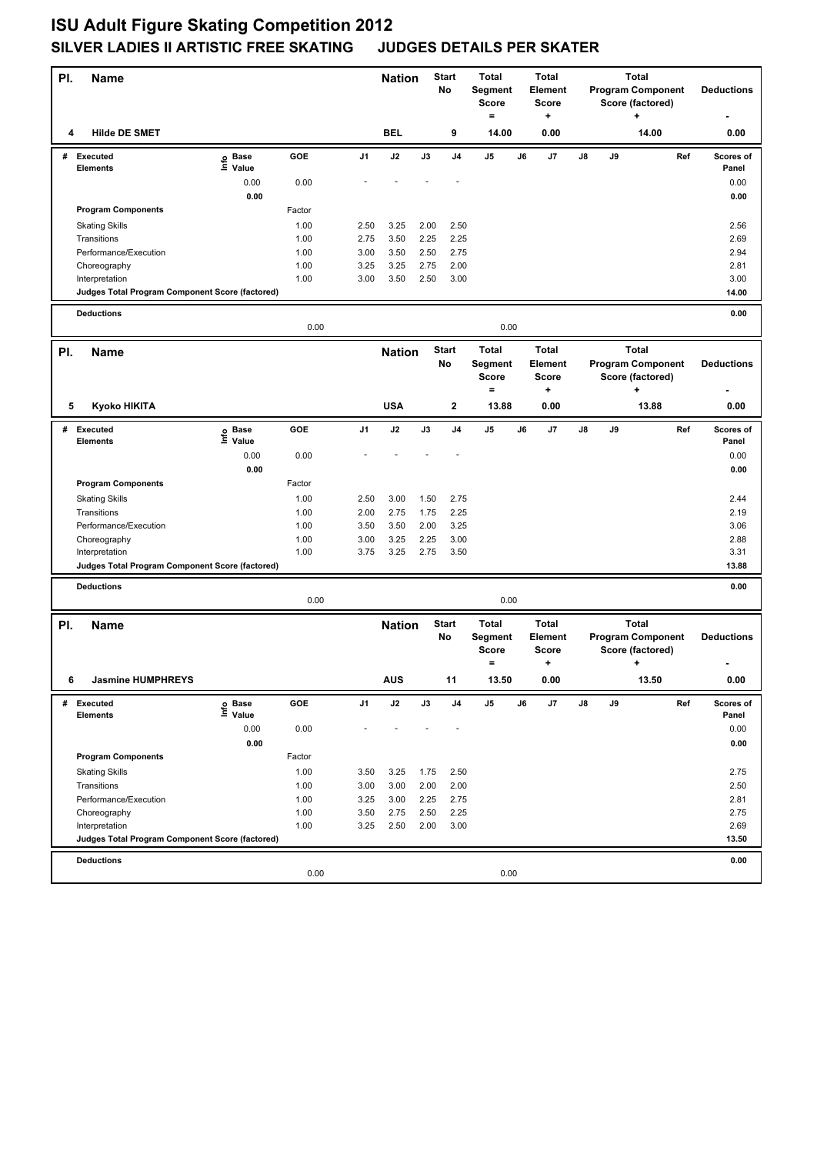| PI. | <b>Name</b>                                                       |                   |        |                | <b>Start</b><br><b>Nation</b><br>No |              | <b>Total</b><br>Segment<br><b>Score</b><br>$=$ |                                         | <b>Total</b><br>Element<br><b>Score</b><br>+ |                                         | <b>Total</b><br><b>Program Component</b><br>Score (factored)<br>$\ddot{}$ |    |                                                              | <b>Deductions</b> |                    |
|-----|-------------------------------------------------------------------|-------------------|--------|----------------|-------------------------------------|--------------|------------------------------------------------|-----------------------------------------|----------------------------------------------|-----------------------------------------|---------------------------------------------------------------------------|----|--------------------------------------------------------------|-------------------|--------------------|
| 4   | <b>Hilde DE SMET</b>                                              |                   |        |                | <b>BEL</b>                          |              | 9                                              | 14.00                                   |                                              | 0.00                                    |                                                                           |    | 14.00                                                        |                   | 0.00               |
|     | # Executed<br><b>Elements</b>                                     | e Base<br>⊑ Value | GOE    | J <sub>1</sub> | J2                                  | J3           | J4                                             | J <sub>5</sub>                          | J6                                           | J7                                      | J8                                                                        | J9 |                                                              | Ref               | Scores of<br>Panel |
|     |                                                                   | 0.00              | 0.00   |                |                                     |              |                                                |                                         |                                              |                                         |                                                                           |    |                                                              |                   | 0.00               |
|     |                                                                   | 0.00              |        |                |                                     |              |                                                |                                         |                                              |                                         |                                                                           |    |                                                              |                   | 0.00               |
|     | <b>Program Components</b>                                         |                   | Factor |                |                                     |              |                                                |                                         |                                              |                                         |                                                                           |    |                                                              |                   |                    |
|     | <b>Skating Skills</b>                                             |                   | 1.00   | 2.50           | 3.25                                | 2.00         | 2.50                                           |                                         |                                              |                                         |                                                                           |    |                                                              |                   | 2.56               |
|     | Transitions                                                       |                   | 1.00   | 2.75           | 3.50                                | 2.25         | 2.25                                           |                                         |                                              |                                         |                                                                           |    |                                                              |                   | 2.69               |
|     | Performance/Execution                                             |                   | 1.00   | 3.00           | 3.50                                | 2.50         | 2.75                                           |                                         |                                              |                                         |                                                                           |    |                                                              |                   | 2.94               |
|     | Choreography                                                      |                   | 1.00   | 3.25<br>3.00   | 3.25                                | 2.75<br>2.50 | 2.00                                           |                                         |                                              |                                         |                                                                           |    |                                                              |                   | 2.81               |
|     | Interpretation<br>Judges Total Program Component Score (factored) |                   | 1.00   |                | 3.50                                |              | 3.00                                           |                                         |                                              |                                         |                                                                           |    |                                                              |                   | 3.00<br>14.00      |
|     |                                                                   |                   |        |                |                                     |              |                                                |                                         |                                              |                                         |                                                                           |    |                                                              |                   |                    |
|     | <b>Deductions</b>                                                 |                   | 0.00   |                |                                     |              |                                                | 0.00                                    |                                              |                                         |                                                                           |    |                                                              |                   | 0.00               |
| PI. | <b>Name</b>                                                       |                   |        |                | <b>Nation</b>                       |              | <b>Start</b><br>No                             | <b>Total</b><br>Segment<br><b>Score</b> |                                              | <b>Total</b><br>Element<br><b>Score</b> |                                                                           |    | <b>Total</b><br><b>Program Component</b><br>Score (factored) |                   | <b>Deductions</b>  |
|     |                                                                   |                   |        |                |                                     |              |                                                | $=$                                     |                                              | +                                       |                                                                           |    | ٠                                                            |                   |                    |
| 5   | Kyoko HIKITA                                                      |                   |        |                | <b>USA</b>                          |              | $\mathbf{2}$                                   | 13.88                                   |                                              | 0.00                                    |                                                                           |    | 13.88                                                        |                   | 0.00               |
|     | # Executed                                                        | e Base<br>E Value | GOE    | J1             | J2                                  | J3           | J <sub>4</sub>                                 | J5                                      | J6                                           | J7                                      | J8                                                                        | J9 |                                                              | Ref               | Scores of          |
|     | <b>Elements</b>                                                   |                   |        |                |                                     |              |                                                |                                         |                                              |                                         |                                                                           |    |                                                              |                   | Panel              |
|     |                                                                   | 0.00<br>0.00      | 0.00   |                |                                     |              |                                                |                                         |                                              |                                         |                                                                           |    |                                                              |                   | 0.00<br>0.00       |
|     | <b>Program Components</b>                                         |                   | Factor |                |                                     |              |                                                |                                         |                                              |                                         |                                                                           |    |                                                              |                   |                    |
|     | <b>Skating Skills</b>                                             |                   | 1.00   | 2.50           | 3.00                                | 1.50         | 2.75                                           |                                         |                                              |                                         |                                                                           |    |                                                              |                   | 2.44               |
|     | Transitions                                                       |                   | 1.00   | 2.00           | 2.75                                | 1.75         | 2.25                                           |                                         |                                              |                                         |                                                                           |    |                                                              |                   | 2.19               |
|     | Performance/Execution                                             |                   | 1.00   | 3.50           | 3.50                                | 2.00         | 3.25                                           |                                         |                                              |                                         |                                                                           |    |                                                              |                   | 3.06               |
|     | Choreography                                                      |                   | 1.00   | 3.00           | 3.25                                | 2.25         | 3.00                                           |                                         |                                              |                                         |                                                                           |    |                                                              |                   | 2.88               |
|     | Interpretation                                                    |                   | 1.00   | 3.75           | 3.25                                | 2.75         | 3.50                                           |                                         |                                              |                                         |                                                                           |    |                                                              |                   | 3.31               |
|     | Judges Total Program Component Score (factored)                   |                   |        |                |                                     |              |                                                |                                         |                                              |                                         |                                                                           |    |                                                              |                   | 13.88              |
|     | <b>Deductions</b>                                                 |                   | 0.00   |                |                                     |              |                                                | 0.00                                    |                                              |                                         |                                                                           |    |                                                              |                   | 0.00               |
|     |                                                                   |                   |        |                |                                     |              | <b>Start</b>                                   | <b>Total</b>                            |                                              | <b>Total</b>                            |                                                                           |    | <b>Total</b>                                                 |                   |                    |
| PI. | <b>Name</b>                                                       |                   |        |                | <b>Nation</b>                       |              | No                                             | Segment<br><b>Score</b><br>$\equiv$     |                                              | <b>Element</b><br><b>Score</b><br>٠     |                                                                           |    | <b>Program Component</b><br>Score (factored)<br>$\ddot{}$    |                   | <b>Deductions</b>  |
| 6   | <b>Jasmine HUMPHREYS</b>                                          |                   |        |                | AUS                                 |              | 11                                             | 13.50                                   |                                              | 0.00                                    |                                                                           |    | 13.50                                                        |                   | 0.00               |
| #   | <b>Executed</b>                                                   | e Base<br>⊑ Value | GOE    | J1             | J2                                  | J3           | J4                                             | J5                                      | J6                                           | J7                                      | J8                                                                        | J9 |                                                              | Ref               | Scores of          |
|     | <b>Elements</b>                                                   |                   |        |                |                                     |              |                                                |                                         |                                              |                                         |                                                                           |    |                                                              |                   | Panel              |
|     |                                                                   | 0.00<br>0.00      | 0.00   |                |                                     |              |                                                |                                         |                                              |                                         |                                                                           |    |                                                              |                   | 0.00<br>0.00       |
|     | <b>Program Components</b>                                         |                   | Factor |                |                                     |              |                                                |                                         |                                              |                                         |                                                                           |    |                                                              |                   |                    |
|     | <b>Skating Skills</b>                                             |                   | 1.00   | 3.50           | 3.25                                | 1.75         | 2.50                                           |                                         |                                              |                                         |                                                                           |    |                                                              |                   | 2.75               |
|     | Transitions                                                       |                   | 1.00   | 3.00           | 3.00                                | 2.00         | 2.00                                           |                                         |                                              |                                         |                                                                           |    |                                                              |                   | 2.50               |
|     | Performance/Execution                                             |                   | 1.00   | 3.25           | 3.00                                | 2.25         | 2.75                                           |                                         |                                              |                                         |                                                                           |    |                                                              |                   | 2.81               |
|     | Choreography                                                      |                   | 1.00   | 3.50           | 2.75                                | 2.50         | 2.25                                           |                                         |                                              |                                         |                                                                           |    |                                                              |                   | 2.75               |
|     | Interpretation                                                    |                   | 1.00   | 3.25           | 2.50                                | 2.00         | 3.00                                           |                                         |                                              |                                         |                                                                           |    |                                                              |                   | 2.69               |
|     | Judges Total Program Component Score (factored)                   |                   |        |                |                                     |              |                                                |                                         |                                              |                                         |                                                                           |    |                                                              |                   | 13.50              |
|     | <b>Deductions</b>                                                 |                   |        |                |                                     |              |                                                |                                         |                                              |                                         |                                                                           |    |                                                              |                   | 0.00               |
|     |                                                                   |                   | 0.00   |                |                                     |              |                                                | 0.00                                    |                                              |                                         |                                                                           |    |                                                              |                   |                    |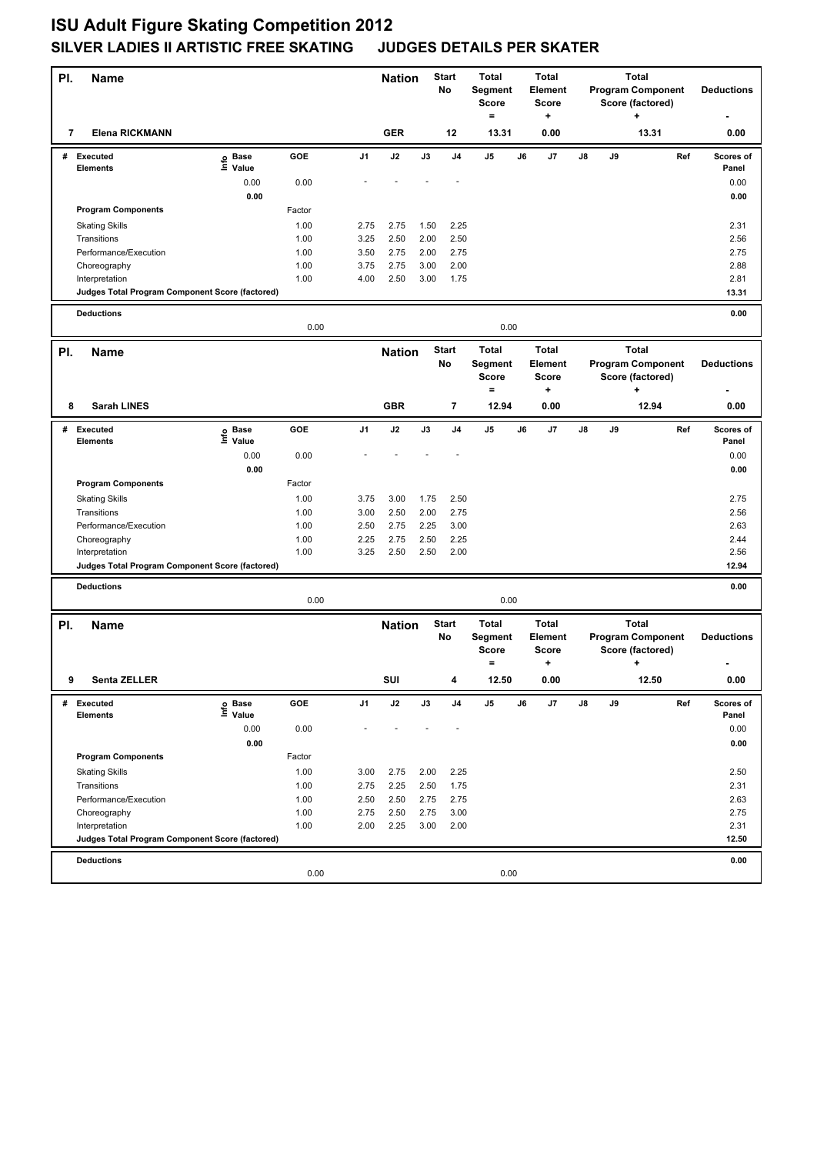| PI.         | <b>Name</b>                                     |                   |        |                | <b>Nation</b> |      | <b>Start</b><br>No | <b>Total</b><br>Segment |    | <b>Total</b><br>Element |    |    | <b>Total</b><br><b>Program Component</b> |     | <b>Deductions</b> |
|-------------|-------------------------------------------------|-------------------|--------|----------------|---------------|------|--------------------|-------------------------|----|-------------------------|----|----|------------------------------------------|-----|-------------------|
|             |                                                 |                   |        |                |               |      |                    | <b>Score</b>            |    | <b>Score</b>            |    |    | Score (factored)                         |     |                   |
|             |                                                 |                   |        |                |               |      |                    | $=$                     |    | +                       |    |    | $\ddot{}$                                |     |                   |
| 7           | <b>Elena RICKMANN</b>                           |                   |        |                | <b>GER</b>    |      | 12                 | 13.31                   |    | 0.00                    |    |    | 13.31                                    |     | 0.00              |
|             | # Executed                                      | e Base<br>⊑ Value | GOE    | J <sub>1</sub> | J2            | J3   | J <sub>4</sub>     | J <sub>5</sub>          | J6 | J7                      | J8 | J9 |                                          | Ref | Scores of         |
|             | <b>Elements</b>                                 |                   |        |                |               |      |                    |                         |    |                         |    |    |                                          |     | Panel             |
|             |                                                 | 0.00<br>0.00      | 0.00   |                |               |      |                    |                         |    |                         |    |    |                                          |     | 0.00<br>0.00      |
|             | <b>Program Components</b>                       |                   | Factor |                |               |      |                    |                         |    |                         |    |    |                                          |     |                   |
|             | <b>Skating Skills</b>                           |                   | 1.00   | 2.75           | 2.75          | 1.50 | 2.25               |                         |    |                         |    |    |                                          |     | 2.31              |
|             | Transitions                                     |                   | 1.00   | 3.25           | 2.50          | 2.00 | 2.50               |                         |    |                         |    |    |                                          |     | 2.56              |
|             | Performance/Execution                           |                   | 1.00   | 3.50           | 2.75          | 2.00 | 2.75               |                         |    |                         |    |    |                                          |     | 2.75              |
|             | Choreography                                    |                   | 1.00   | 3.75           | 2.75          | 3.00 | 2.00               |                         |    |                         |    |    |                                          |     | 2.88              |
|             | Interpretation                                  |                   | 1.00   | 4.00           | 2.50          | 3.00 | 1.75               |                         |    |                         |    |    |                                          |     | 2.81              |
|             | Judges Total Program Component Score (factored) |                   |        |                |               |      |                    |                         |    |                         |    |    |                                          |     | 13.31             |
|             | <b>Deductions</b>                               |                   |        |                |               |      |                    |                         |    |                         |    |    |                                          |     | 0.00              |
|             |                                                 |                   | 0.00   |                |               |      |                    | 0.00                    |    |                         |    |    |                                          |     |                   |
| PI.         | <b>Name</b>                                     |                   |        |                | <b>Nation</b> |      | <b>Start</b>       | <b>Total</b>            |    | <b>Total</b>            |    |    | <b>Total</b>                             |     |                   |
|             |                                                 |                   |        |                |               |      | No                 | Segment                 |    | Element                 |    |    | <b>Program Component</b>                 |     | <b>Deductions</b> |
|             |                                                 |                   |        |                |               |      |                    | <b>Score</b>            |    | <b>Score</b>            |    |    | Score (factored)                         |     |                   |
|             |                                                 |                   |        |                |               |      |                    | $=$                     |    | +                       |    |    | ۰.                                       |     |                   |
| 8           | <b>Sarah LINES</b>                              |                   |        |                | <b>GBR</b>    |      | 7                  | 12.94                   |    | 0.00                    |    |    | 12.94                                    |     | 0.00              |
|             | # Executed                                      | e Base<br>E Value | GOE    | J1             | J2            | J3   | J <sub>4</sub>     | J5                      | J6 | J7                      | J8 | J9 |                                          | Ref | Scores of         |
|             | <b>Elements</b>                                 |                   |        |                |               |      |                    |                         |    |                         |    |    |                                          |     | Panel             |
|             |                                                 | 0.00<br>0.00      | 0.00   |                |               |      |                    |                         |    |                         |    |    |                                          |     | 0.00<br>0.00      |
|             | <b>Program Components</b>                       |                   | Factor |                |               |      |                    |                         |    |                         |    |    |                                          |     |                   |
|             | <b>Skating Skills</b>                           |                   | 1.00   | 3.75           | 3.00          | 1.75 | 2.50               |                         |    |                         |    |    |                                          |     | 2.75              |
|             | Transitions                                     |                   | 1.00   | 3.00           | 2.50          | 2.00 | 2.75               |                         |    |                         |    |    |                                          |     | 2.56              |
|             | Performance/Execution                           |                   | 1.00   | 2.50           | 2.75          | 2.25 | 3.00               |                         |    |                         |    |    |                                          |     | 2.63              |
|             | Choreography                                    |                   | 1.00   | 2.25           | 2.75          | 2.50 | 2.25               |                         |    |                         |    |    |                                          |     | 2.44              |
|             | Interpretation                                  |                   | 1.00   | 3.25           | 2.50          | 2.50 | 2.00               |                         |    |                         |    |    |                                          |     | 2.56              |
|             | Judges Total Program Component Score (factored) |                   |        |                |               |      |                    |                         |    |                         |    |    |                                          |     | 12.94             |
|             | <b>Deductions</b>                               |                   |        |                |               |      |                    |                         |    |                         |    |    |                                          |     | 0.00              |
|             |                                                 |                   | 0.00   |                |               |      |                    | 0.00                    |    |                         |    |    |                                          |     |                   |
| PI.         | <b>Name</b>                                     |                   |        |                | <b>Nation</b> |      | <b>Start</b>       | <b>Total</b>            |    | <b>Total</b>            |    |    | <b>Total</b>                             |     |                   |
|             |                                                 |                   |        |                |               |      | No                 | Segment                 |    | <b>Element</b>          |    |    | <b>Program Component</b>                 |     | <b>Deductions</b> |
|             |                                                 |                   |        |                |               |      |                    | <b>Score</b>            |    | <b>Score</b>            |    |    | Score (factored)                         |     |                   |
| $\pmb{9}^-$ |                                                 |                   |        |                |               |      |                    | $\equiv$<br>12.50       |    | ٠                       |    |    | $\ddot{}$                                |     |                   |
|             | Senta ZELLER                                    |                   |        |                | SUI           |      |                    |                         |    | 0.00                    |    |    | 12.50                                    |     | 0.00              |
| #           | <b>Executed</b>                                 | e Base<br>⊑ Value | GOE    | J1             | J2            | J3   | J4                 | J5                      | J6 | J7                      | J8 | J9 |                                          | Ref | Scores of         |
|             | <b>Elements</b>                                 |                   |        |                |               |      |                    |                         |    |                         |    |    |                                          |     | Panel             |
|             |                                                 | 0.00<br>0.00      | 0.00   |                |               |      |                    |                         |    |                         |    |    |                                          |     | 0.00<br>0.00      |
|             | <b>Program Components</b>                       |                   | Factor |                |               |      |                    |                         |    |                         |    |    |                                          |     |                   |
|             | <b>Skating Skills</b>                           |                   | 1.00   | 3.00           | 2.75          | 2.00 | 2.25               |                         |    |                         |    |    |                                          |     | 2.50              |
|             | Transitions                                     |                   | 1.00   | 2.75           | 2.25          | 2.50 | 1.75               |                         |    |                         |    |    |                                          |     | 2.31              |
|             | Performance/Execution                           |                   | 1.00   | 2.50           | 2.50          | 2.75 | 2.75               |                         |    |                         |    |    |                                          |     | 2.63              |
|             | Choreography                                    |                   | 1.00   | 2.75           | 2.50          | 2.75 | 3.00               |                         |    |                         |    |    |                                          |     | 2.75              |
|             | Interpretation                                  |                   | 1.00   | 2.00           | 2.25          | 3.00 | 2.00               |                         |    |                         |    |    |                                          |     | 2.31              |
|             | Judges Total Program Component Score (factored) |                   |        |                |               |      |                    |                         |    |                         |    |    |                                          |     | 12.50             |
|             | <b>Deductions</b>                               |                   |        |                |               |      |                    |                         |    |                         |    |    |                                          |     | 0.00              |
|             |                                                 |                   | 0.00   |                |               |      |                    | 0.00                    |    |                         |    |    |                                          |     |                   |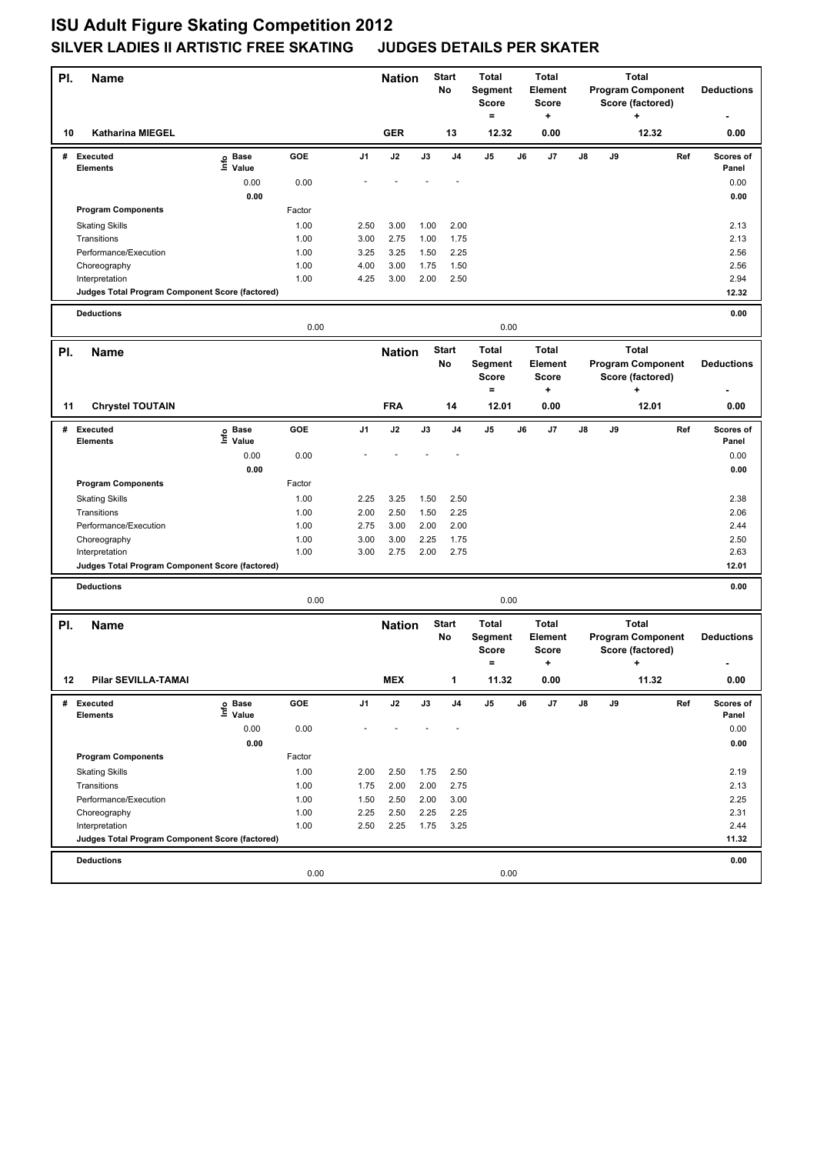| PI. | <b>Name</b>                                                       |                            |              |                | <b>Nation</b> |              | Start<br>No    | <b>Total</b><br>Segment<br><b>Score</b><br>$=$ |    | <b>Total</b><br>Element<br><b>Score</b><br>+ |    |    | <b>Total</b><br><b>Program Component</b><br>Score (factored)<br>÷ |     | <b>Deductions</b>  |
|-----|-------------------------------------------------------------------|----------------------------|--------------|----------------|---------------|--------------|----------------|------------------------------------------------|----|----------------------------------------------|----|----|-------------------------------------------------------------------|-----|--------------------|
| 10  | <b>Katharina MIEGEL</b>                                           |                            |              |                | <b>GER</b>    |              | 13             | 12.32                                          |    | 0.00                                         |    |    | 12.32                                                             |     | 0.00               |
| #   | <b>Executed</b><br><b>Elements</b>                                | e Base<br>⊑ Value          | <b>GOE</b>   | J <sub>1</sub> | J2            | J3           | J <sub>4</sub> | J5                                             | J6 | J7                                           | J8 | J9 |                                                                   | Ref | Scores of<br>Panel |
|     |                                                                   | 0.00                       | 0.00         |                |               |              |                |                                                |    |                                              |    |    |                                                                   |     | 0.00               |
|     |                                                                   | 0.00                       |              |                |               |              |                |                                                |    |                                              |    |    |                                                                   |     | 0.00               |
|     | <b>Program Components</b>                                         |                            | Factor       |                |               |              |                |                                                |    |                                              |    |    |                                                                   |     |                    |
|     | <b>Skating Skills</b>                                             |                            | 1.00         | 2.50           | 3.00          | 1.00         | 2.00           |                                                |    |                                              |    |    |                                                                   |     | 2.13               |
|     | Transitions                                                       |                            | 1.00         | 3.00           | 2.75          | 1.00         | 1.75           |                                                |    |                                              |    |    |                                                                   |     | 2.13               |
|     | Performance/Execution                                             |                            | 1.00         | 3.25           | 3.25          | 1.50         | 2.25           |                                                |    |                                              |    |    |                                                                   |     | 2.56               |
|     | Choreography                                                      |                            | 1.00<br>1.00 | 4.00<br>4.25   | 3.00<br>3.00  | 1.75<br>2.00 | 1.50<br>2.50   |                                                |    |                                              |    |    |                                                                   |     | 2.56<br>2.94       |
|     | Interpretation<br>Judges Total Program Component Score (factored) |                            |              |                |               |              |                |                                                |    |                                              |    |    |                                                                   |     | 12.32              |
|     |                                                                   |                            |              |                |               |              |                |                                                |    |                                              |    |    |                                                                   |     |                    |
|     | <b>Deductions</b>                                                 |                            | 0.00         |                |               |              |                | 0.00                                           |    |                                              |    |    |                                                                   |     | 0.00               |
| PI. | <b>Name</b>                                                       |                            |              |                | <b>Nation</b> |              | <b>Start</b>   | <b>Total</b>                                   |    | <b>Total</b>                                 |    |    | <b>Total</b>                                                      |     |                    |
|     |                                                                   |                            |              |                |               |              | No             | Segment<br><b>Score</b><br>$=$                 |    | Element<br><b>Score</b><br>+                 |    |    | <b>Program Component</b><br>Score (factored)<br>$\ddot{}$         |     | <b>Deductions</b>  |
| 11  | <b>Chrystel TOUTAIN</b>                                           |                            |              |                | <b>FRA</b>    |              | 14             | 12.01                                          |    | 0.00                                         |    |    | 12.01                                                             |     | 0.00               |
| #   | <b>Executed</b><br><b>Elements</b>                                | e Base<br>E Value<br>Value | <b>GOE</b>   | J1             | J2            | J3           | J4             | J5                                             | J6 | J7                                           | J8 | J9 |                                                                   | Ref | Scores of<br>Panel |
|     |                                                                   | 0.00                       | 0.00         |                |               |              |                |                                                |    |                                              |    |    |                                                                   |     | 0.00               |
|     |                                                                   | 0.00                       |              |                |               |              |                |                                                |    |                                              |    |    |                                                                   |     | 0.00               |
|     | <b>Program Components</b>                                         |                            | Factor       |                |               |              |                |                                                |    |                                              |    |    |                                                                   |     |                    |
|     | <b>Skating Skills</b>                                             |                            | 1.00         | 2.25           | 3.25          | 1.50         | 2.50           |                                                |    |                                              |    |    |                                                                   |     | 2.38               |
|     | Transitions                                                       |                            | 1.00         | 2.00           | 2.50          | 1.50         | 2.25           |                                                |    |                                              |    |    |                                                                   |     | 2.06               |
|     | Performance/Execution                                             |                            | 1.00         | 2.75           | 3.00          | 2.00         | 2.00           |                                                |    |                                              |    |    |                                                                   |     | 2.44               |
|     | Choreography                                                      |                            | 1.00         | 3.00           | 3.00          | 2.25         | 1.75           |                                                |    |                                              |    |    |                                                                   |     | 2.50               |
|     | Interpretation<br>Judges Total Program Component Score (factored) |                            | 1.00         | 3.00           | 2.75          | 2.00         | 2.75           |                                                |    |                                              |    |    |                                                                   |     | 2.63<br>12.01      |
|     |                                                                   |                            |              |                |               |              |                |                                                |    |                                              |    |    |                                                                   |     |                    |
|     | <b>Deductions</b>                                                 |                            | 0.00         |                |               |              |                | 0.00                                           |    |                                              |    |    |                                                                   |     | 0.00               |
|     |                                                                   |                            |              |                |               |              | Start          | <b>Total</b>                                   |    | <b>Total</b>                                 |    |    | <b>Total</b>                                                      |     |                    |
| PI. | Name                                                              |                            |              |                | <b>Nation</b> |              | No             | Segment<br><b>Score</b><br>$\qquad \qquad =$   |    | Element<br><b>Score</b><br>٠                 |    |    | <b>Program Component</b><br>Score (factored)<br>+                 |     | <b>Deductions</b>  |
| 12  | Pilar SEVILLA-TAMAI                                               |                            |              |                | <b>MEX</b>    |              |                | 11.32                                          |    | 0.00                                         |    |    | 11.32                                                             |     | 0.00               |
| #   | Executed<br>Elements                                              | e Base<br>⊑ Value          | GOE          | J1             | $\mathsf{J2}$ | J3           | J4             | J5                                             | J6 | J7                                           | J8 | J9 |                                                                   | Ref | Scores of<br>Panel |
|     |                                                                   | 0.00                       | 0.00         |                |               |              |                |                                                |    |                                              |    |    |                                                                   |     | 0.00               |
|     |                                                                   | 0.00                       |              |                |               |              |                |                                                |    |                                              |    |    |                                                                   |     | 0.00               |
|     | <b>Program Components</b>                                         |                            | Factor       |                |               |              |                |                                                |    |                                              |    |    |                                                                   |     |                    |
|     | <b>Skating Skills</b>                                             |                            | 1.00         | 2.00           | 2.50          | 1.75         | 2.50           |                                                |    |                                              |    |    |                                                                   |     | 2.19               |
|     | Transitions                                                       |                            | 1.00         | 1.75           | 2.00          | 2.00         | 2.75           |                                                |    |                                              |    |    |                                                                   |     | 2.13               |
|     | Performance/Execution                                             |                            | 1.00         | 1.50           | 2.50          | 2.00         | 3.00           |                                                |    |                                              |    |    |                                                                   |     | 2.25               |
|     | Choreography<br>Interpretation                                    |                            | 1.00         | 2.25           | 2.50          | 2.25         | 2.25           |                                                |    |                                              |    |    |                                                                   |     | 2.31               |
|     | Judges Total Program Component Score (factored)                   |                            | 1.00         | 2.50           | 2.25          | 1.75         | 3.25           |                                                |    |                                              |    |    |                                                                   |     | 2.44<br>11.32      |
|     |                                                                   |                            |              |                |               |              |                |                                                |    |                                              |    |    |                                                                   |     |                    |
|     | <b>Deductions</b>                                                 |                            |              |                |               |              |                |                                                |    |                                              |    |    |                                                                   |     | 0.00               |
|     |                                                                   |                            | 0.00         |                |               |              |                | 0.00                                           |    |                                              |    |    |                                                                   |     |                    |